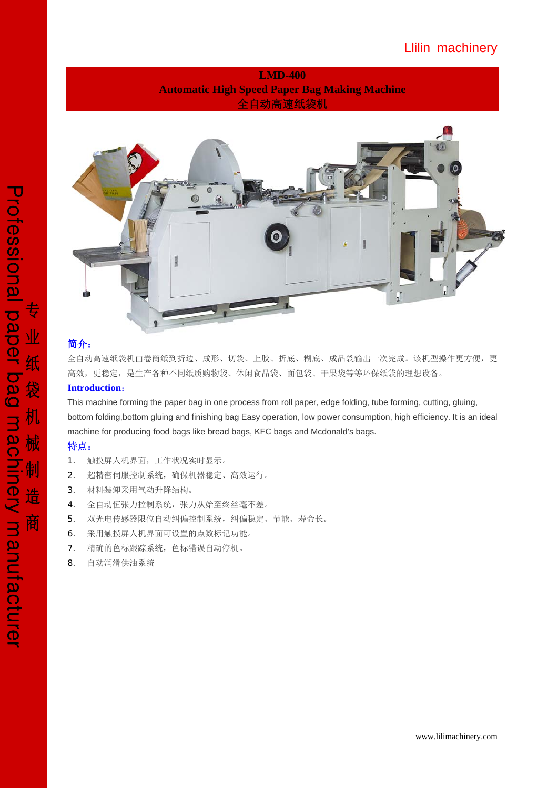# Llilin machinery

## **LMD-400 Automatic High Speed Paper Bag Making Machine** 全自动高速纸袋机



## 简介:

全自动高速纸袋机由卷筒纸到折边、成形、切袋、上胶、折底、糊底、成品袋输出一次完成。该机型操作更方便,更 高效,更稳定,是生产各种不同纸质购物袋、休闲食品袋、面包袋、干果袋等等环保纸袋的理想设备。

### **Introduction**:

This machine forming the paper bag in one process from roll paper, edge folding, tube forming, cutting, gluing, bottom folding,bottom gluing and finishing bag Easy operation, low power consumption, high efficiency. It is an ideal machine for producing food bags like bread bags, KFC bags and Mcdonald's bags.

### 特点:

- 1. 触摸屏人机界面,工作状况实时显示。
- 2. 超精密伺服控制系统,确保机器稳定、高效运行。
- 3. 材料装卸采用气动升降结构。
- 4. 全自动恒张力控制系统,张力从始至终丝毫不差。
- 5. 双光电传感器限位自动纠偏控制系统,纠偏稳定、节能、寿命长。
- 6. 采用触摸屏人机界面可设置的点数标记功能。
- 7. 精确的色标跟踪系统,色标错误自动停机。
- 8. 自动润滑供油系统